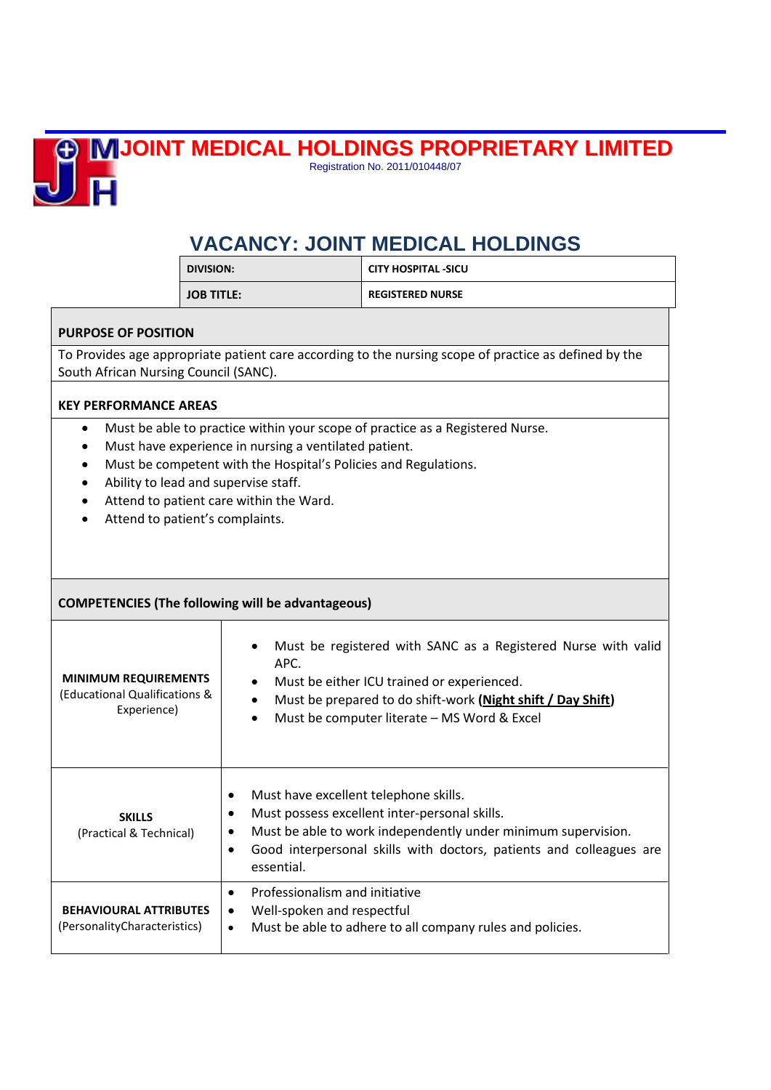## **JOINT MEDICAL HOLDINGS PROPRIETARY LIMITED**



Registration No. 2011/010448/07

## **VACANCY: JOINT MEDICAL HOLDINGS**

| i division: | <b>CITY HOSPITAL -SICU</b> |
|-------------|----------------------------|
| JOB TITLE:  | <b>REGISTERED NURSE</b>    |

## **PURPOSE OF POSITION**

To Provides age appropriate patient care according to the nursing scope of practice as defined by the South African Nursing Council (SANC).

## **KEY PERFORMANCE AREAS**

- Must be able to practice within your scope of practice as a Registered Nurse.
- Must have experience in nursing a ventilated patient.
- Must be competent with the Hospital's Policies and Regulations.
- Ability to lead and supervise staff.
- Attend to patient care within the Ward.
- Attend to patient's complaints.

| <b>COMPETENCIES (The following will be advantageous)</b>                    |                                                                                                                                                                                                                                                                                                  |  |
|-----------------------------------------------------------------------------|--------------------------------------------------------------------------------------------------------------------------------------------------------------------------------------------------------------------------------------------------------------------------------------------------|--|
| <b>MINIMUM REQUIREMENTS</b><br>(Educational Qualifications &<br>Experience) | Must be registered with SANC as a Registered Nurse with valid<br>$\bullet$<br>APC.<br>Must be either ICU trained or experienced.<br>$\bullet$<br>Must be prepared to do shift-work (Night shift / Day Shift)<br>$\bullet$<br>Must be computer literate - MS Word & Excel<br>$\bullet$            |  |
| <b>SKILLS</b><br>(Practical & Technical)                                    | Must have excellent telephone skills.<br>$\bullet$<br>Must possess excellent inter-personal skills.<br>$\bullet$<br>Must be able to work independently under minimum supervision.<br>$\bullet$<br>Good interpersonal skills with doctors, patients and colleagues are<br>$\bullet$<br>essential. |  |
| <b>BEHAVIOURAL ATTRIBUTES</b><br>(PersonalityCharacteristics)               | Professionalism and initiative<br>$\bullet$<br>Well-spoken and respectful<br>٠<br>Must be able to adhere to all company rules and policies.<br>$\bullet$                                                                                                                                         |  |